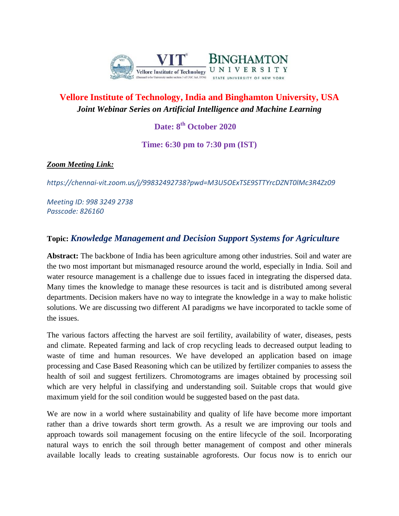

# **Vellore Institute of Technology, India and Binghamton University, USA** *Joint Webinar Series on Artificial Intelligence and Machine Learning*

## **Date: 8th October 2020**

**Time: 6:30 pm to 7:30 pm (IST)**

#### *Zoom Meeting Link:*

*https://chennai-vit.zoom.us/j/99832492738?pwd=M3U5OExTSE9STTYrcDZNT0lMc3R4Zz09*

*Meeting ID: 998 3249 2738 Passcode: 826160*

### **Topic:** *Knowledge Management and Decision Support Systems for Agriculture*

**Abstract:** The backbone of India has been agriculture among other industries. Soil and water are the two most important but mismanaged resource around the world, especially in India. Soil and water resource management is a challenge due to issues faced in integrating the dispersed data. Many times the knowledge to manage these resources is tacit and is distributed among several departments. Decision makers have no way to integrate the knowledge in a way to make holistic solutions. We are discussing two different AI paradigms we have incorporated to tackle some of the issues.

The various factors affecting the harvest are soil fertility, availability of water, diseases, pests and climate. Repeated farming and lack of crop recycling leads to decreased output leading to waste of time and human resources. We have developed an application based on image processing and Case Based Reasoning which can be utilized by fertilizer companies to assess the health of soil and suggest fertilizers. Chromotograms are images obtained by processing soil which are very helpful in classifying and understanding soil. Suitable crops that would give maximum yield for the soil condition would be suggested based on the past data.

We are now in a world where sustainability and quality of life have become more important rather than a drive towards short term growth. As a result we are improving our tools and approach towards soil management focusing on the entire lifecycle of the soil. Incorporating natural ways to enrich the soil through better management of compost and other minerals available locally leads to creating sustainable agroforests. Our focus now is to enrich our